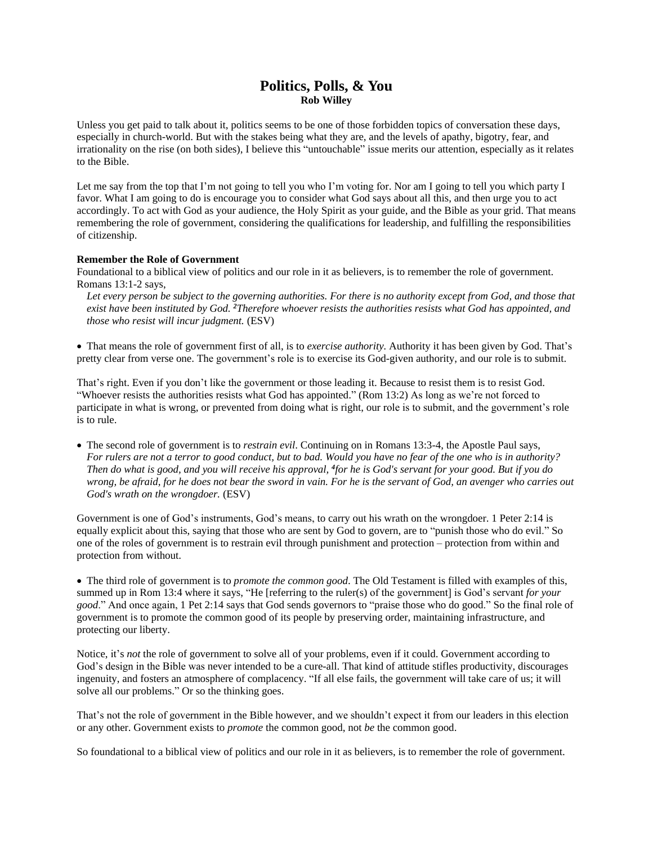## **Politics, Polls, & You Rob Willey**

Unless you get paid to talk about it, politics seems to be one of those forbidden topics of conversation these days, especially in church-world. But with the stakes being what they are, and the levels of apathy, bigotry, fear, and irrationality on the rise (on both sides), I believe this "untouchable" issue merits our attention, especially as it relates to the Bible.

Let me say from the top that I'm not going to tell you who I'm voting for. Nor am I going to tell you which party I favor. What I am going to do is encourage you to consider what God says about all this, and then urge you to act accordingly. To act with God as your audience, the Holy Spirit as your guide, and the Bible as your grid. That means remembering the role of government, considering the qualifications for leadership, and fulfilling the responsibilities of citizenship.

## **Remember the Role of Government**

Foundational to a biblical view of politics and our role in it as believers, is to remember the role of government. Romans 13:1-2 says,

Let every person be subject to the governing authorities. For there is no authority except from God, and those that *exist have been instituted by God. <sup>2</sup>Therefore whoever resists the authorities resists what God has appointed, and those who resist will incur judgment.* (ESV)

• That means the role of government first of all, is to *exercise authority.* Authority it has been given by God. That's pretty clear from verse one. The government's role is to exercise its God-given authority, and our role is to submit.

That's right. Even if you don't like the government or those leading it. Because to resist them is to resist God. "Whoever resists the authorities resists what God has appointed." (Rom 13:2) As long as we're not forced to participate in what is wrong, or prevented from doing what is right, our role is to submit, and the government's role is to rule.

• The second role of government is to *restrain evil*. Continuing on in Romans 13:3-4, the Apostle Paul says, *For rulers are not a terror to good conduct, but to bad. Would you have no fear of the one who is in authority? Then do what is good, and you will receive his approval, <sup>4</sup> for he is God's servant for your good. But if you do*  wrong, be afraid, for he does not bear the sword in vain. For he is the servant of God, an avenger who carries out *God's wrath on the wrongdoer.* (ESV)

Government is one of God's instruments, God's means, to carry out his wrath on the wrongdoer. 1 Peter 2:14 is equally explicit about this, saying that those who are sent by God to govern, are to "punish those who do evil." So one of the roles of government is to restrain evil through punishment and protection – protection from within and protection from without.

• The third role of government is to *promote the common good*. The Old Testament is filled with examples of this, summed up in Rom 13:4 where it says, "He [referring to the ruler(s) of the government] is God's servant *for your good*." And once again, 1 Pet 2:14 says that God sends governors to "praise those who do good." So the final role of government is to promote the common good of its people by preserving order, maintaining infrastructure, and protecting our liberty.

Notice, it's *not* the role of government to solve all of your problems, even if it could. Government according to God's design in the Bible was never intended to be a cure-all. That kind of attitude stifles productivity, discourages ingenuity, and fosters an atmosphere of complacency. "If all else fails, the government will take care of us; it will solve all our problems." Or so the thinking goes.

That's not the role of government in the Bible however, and we shouldn't expect it from our leaders in this election or any other. Government exists to *promote* the common good, not *be* the common good.

So foundational to a biblical view of politics and our role in it as believers, is to remember the role of government.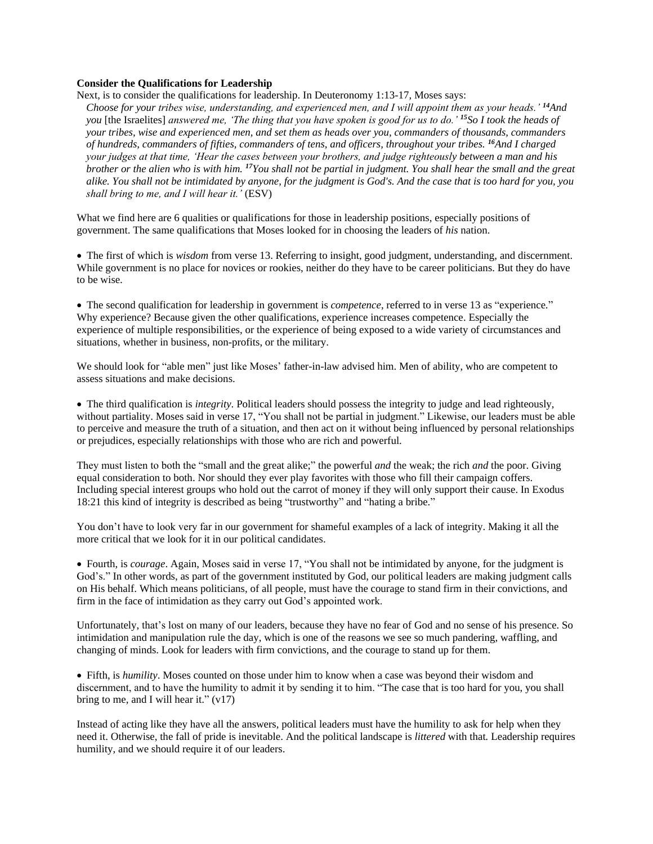## **Consider the Qualifications for Leadership**

Next, is to consider the qualifications for leadership. In Deuteronomy 1:13-17, Moses says:

*Choose for your tribes wise, understanding, and experienced men, and I will appoint them as your heads.' <sup>14</sup>And you* [the Israelites] *answered me, 'The thing that you have spoken is good for us to do.' <sup>15</sup>So I took the heads of your tribes, wise and experienced men, and set them as heads over you, commanders of thousands, commanders of hundreds, commanders of fifties, commanders of tens, and officers, throughout your tribes. <sup>16</sup>And I charged your judges at that time, 'Hear the cases between your brothers, and judge righteously between a man and his brother or the alien who is with him. <sup>17</sup>You shall not be partial in judgment. You shall hear the small and the great alike. You shall not be intimidated by anyone, for the judgment is God's. And the case that is too hard for you, you shall bring to me, and I will hear it.'* (ESV)

What we find here are 6 qualities or qualifications for those in leadership positions, especially positions of government. The same qualifications that Moses looked for in choosing the leaders of *his* nation.

• The first of which is *wisdom* from verse 13. Referring to insight, good judgment, understanding, and discernment. While government is no place for novices or rookies, neither do they have to be career politicians. But they do have to be wise.

• The second qualification for leadership in government is *competence*, referred to in verse 13 as "experience*.*" Why experience? Because given the other qualifications, experience increases competence. Especially the experience of multiple responsibilities, or the experience of being exposed to a wide variety of circumstances and situations, whether in business, non-profits, or the military.

We should look for "able men" just like Moses' father-in-law advised him. Men of ability, who are competent to assess situations and make decisions.

• The third qualification is *integrity*. Political leaders should possess the integrity to judge and lead righteously, without partiality. Moses said in verse 17, "You shall not be partial in judgment." Likewise, our leaders must be able to perceive and measure the truth of a situation, and then act on it without being influenced by personal relationships or prejudices, especially relationships with those who are rich and powerful.

They must listen to both the "small and the great alike;" the powerful *and* the weak; the rich *and* the poor. Giving equal consideration to both. Nor should they ever play favorites with those who fill their campaign coffers. Including special interest groups who hold out the carrot of money if they will only support their cause. In Exodus 18:21 this kind of integrity is described as being "trustworthy" and "hating a bribe."

You don't have to look very far in our government for shameful examples of a lack of integrity. Making it all the more critical that we look for it in our political candidates.

• Fourth, is *courage*. Again, Moses said in verse 17, "You shall not be intimidated by anyone, for the judgment is God's." In other words, as part of the government instituted by God, our political leaders are making judgment calls on His behalf. Which means politicians, of all people, must have the courage to stand firm in their convictions, and firm in the face of intimidation as they carry out God's appointed work.

Unfortunately, that's lost on many of our leaders, because they have no fear of God and no sense of his presence. So intimidation and manipulation rule the day, which is one of the reasons we see so much pandering, waffling, and changing of minds. Look for leaders with firm convictions, and the courage to stand up for them.

• Fifth, is *humility*. Moses counted on those under him to know when a case was beyond their wisdom and discernment, and to have the humility to admit it by sending it to him. "The case that is too hard for you, you shall bring to me, and I will hear it."  $(v17)$ 

Instead of acting like they have all the answers, political leaders must have the humility to ask for help when they need it. Otherwise, the fall of pride is inevitable. And the political landscape is *littered* with that*.* Leadership requires humility, and we should require it of our leaders.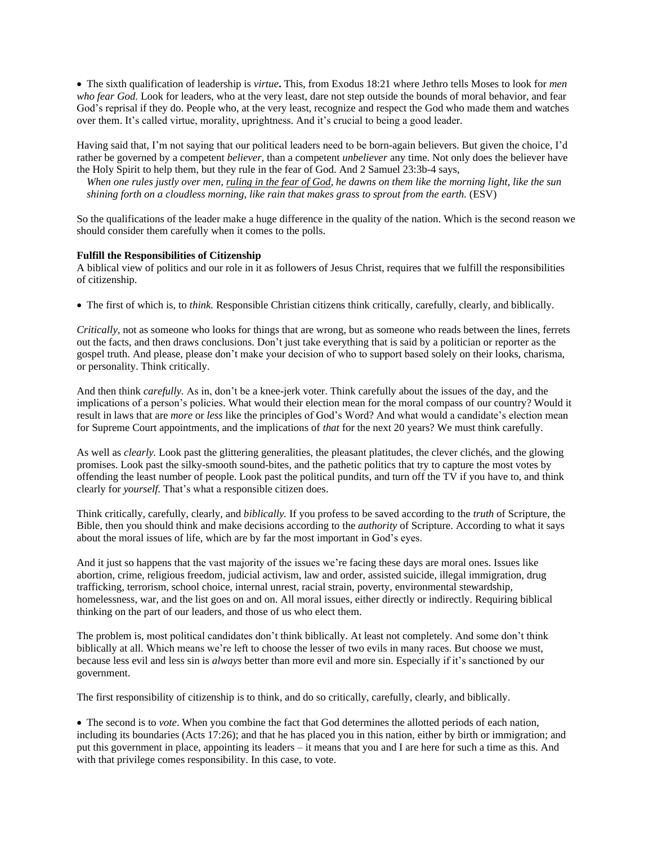• The sixth qualification of leadership is *virtue***.** This, from Exodus 18:21 where Jethro tells Moses to look for *men who fear God.* Look for leaders, who at the very least, dare not step outside the bounds of moral behavior, and fear God's reprisal if they do. People who, at the very least, recognize and respect the God who made them and watches over them. It's called virtue, morality, uprightness. And it's crucial to being a good leader.

Having said that, I'm not saying that our political leaders need to be born-again believers. But given the choice, I'd rather be governed by a competent *believer*, than a competent *unbeliever* any time. Not only does the believer have the Holy Spirit to help them, but they rule in the fear of God. And 2 Samuel 23:3b-4 says,

*When one rules justly over men, ruling in the fear of God, he dawns on them like the morning light, like the sun shining forth on a cloudless morning, like rain that makes grass to sprout from the earth.* (ESV)

So the qualifications of the leader make a huge difference in the quality of the nation. Which is the second reason we should consider them carefully when it comes to the polls.

## **Fulfill the Responsibilities of Citizenship**

A biblical view of politics and our role in it as followers of Jesus Christ, requires that we fulfill the responsibilities of citizenship.

• The first of which is, to *think.* Responsible Christian citizens think critically, carefully, clearly, and biblically.

*Critically*, not as someone who looks for things that are wrong, but as someone who reads between the lines, ferrets out the facts, and then draws conclusions. Don't just take everything that is said by a politician or reporter as the gospel truth. And please, please don't make your decision of who to support based solely on their looks, charisma, or personality. Think critically.

And then think *carefully.* As in, don't be a knee-jerk voter. Think carefully about the issues of the day, and the implications of a person's policies. What would their election mean for the moral compass of our country? Would it result in laws that are *more* or *less* like the principles of God's Word? And what would a candidate's election mean for Supreme Court appointments, and the implications of *that* for the next 20 years? We must think carefully.

As well as *clearly.* Look past the glittering generalities, the pleasant platitudes, the clever clichés, and the glowing promises. Look past the silky-smooth sound-bites, and the pathetic politics that try to capture the most votes by offending the least number of people. Look past the political pundits, and turn off the TV if you have to, and think clearly for *yourself*. That's what a responsible citizen does.

Think critically, carefully, clearly, and *biblically.* If you profess to be saved according to the *truth* of Scripture, the Bible, then you should think and make decisions according to the *authority* of Scripture. According to what it says about the moral issues of life, which are by far the most important in God's eyes.

And it just so happens that the vast majority of the issues we're facing these days are moral ones. Issues like abortion, crime, religious freedom, judicial activism, law and order, assisted suicide, illegal immigration, drug trafficking, terrorism, school choice, internal unrest, racial strain, poverty, environmental stewardship, homelessness, war, and the list goes on and on. All moral issues, either directly or indirectly. Requiring biblical thinking on the part of our leaders, and those of us who elect them.

The problem is, most political candidates don't think biblically. At least not completely. And some don't think biblically at all. Which means we're left to choose the lesser of two evils in many races. But choose we must, because less evil and less sin is *always* better than more evil and more sin. Especially if it's sanctioned by our government.

The first responsibility of citizenship is to think, and do so critically, carefully, clearly, and biblically.

• The second is to *vote*. When you combine the fact that God determines the allotted periods of each nation, including its boundaries (Acts 17:26); and that he has placed you in this nation, either by birth or immigration; and put this government in place, appointing its leaders – it means that you and I are here for such a time as this. And with that privilege comes responsibility. In this case, to vote.